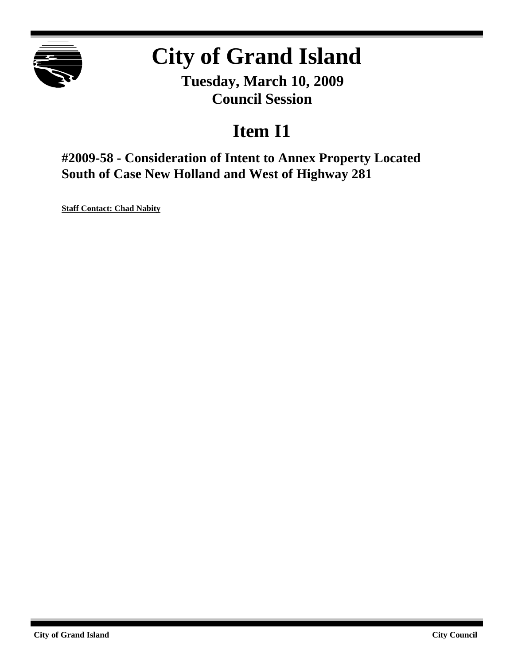

# **City of Grand Island**

**Tuesday, March 10, 2009 Council Session**

## **Item I1**

**#2009-58 - Consideration of Intent to Annex Property Located South of Case New Holland and West of Highway 281**

**Staff Contact: Chad Nabity**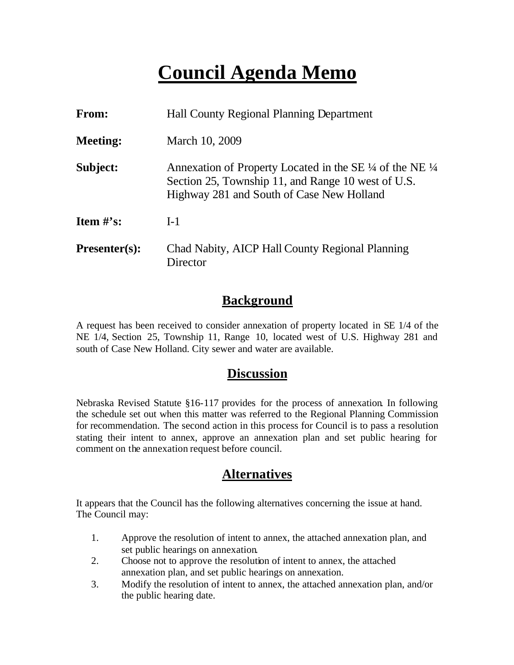## **Council Agenda Memo**

| <b>From:</b>                   | <b>Hall County Regional Planning Department</b>                                                                                                                                   |
|--------------------------------|-----------------------------------------------------------------------------------------------------------------------------------------------------------------------------------|
| <b>Meeting:</b>                | March 10, 2009                                                                                                                                                                    |
| Subject:                       | Annexation of Property Located in the SE $\frac{1}{4}$ of the NE $\frac{1}{4}$<br>Section 25, Township 11, and Range 10 west of U.S.<br>Highway 281 and South of Case New Holland |
| <b>Item <math>\#</math>'s:</b> | $I-1$                                                                                                                                                                             |
| <b>Presenter(s):</b>           | Chad Nabity, AICP Hall County Regional Planning<br>Director                                                                                                                       |

### **Background**

A request has been received to consider annexation of property located in SE 1/4 of the NE 1/4, Section 25, Township 11, Range 10, located west of U.S. Highway 281 and south of Case New Holland. City sewer and water are available.

## **Discussion**

Nebraska Revised Statute §16-117 provides for the process of annexation. In following the schedule set out when this matter was referred to the Regional Planning Commission for recommendation. The second action in this process for Council is to pass a resolution stating their intent to annex, approve an annexation plan and set public hearing for comment on the annexation request before council.

## **Alternatives**

It appears that the Council has the following alternatives concerning the issue at hand. The Council may:

- 1. Approve the resolution of intent to annex, the attached annexation plan, and set public hearings on annexation.
- 2. Choose not to approve the resolution of intent to annex, the attached annexation plan, and set public hearings on annexation.
- 3. Modify the resolution of intent to annex, the attached annexation plan, and/or the public hearing date.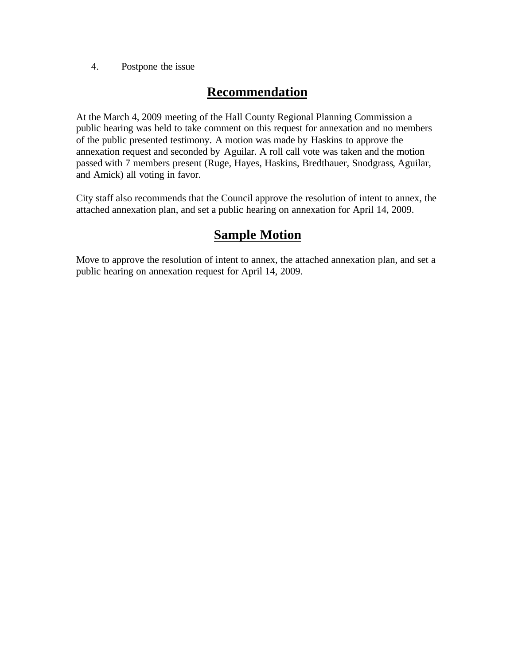4. Postpone the issue

### **Recommendation**

At the March 4, 2009 meeting of the Hall County Regional Planning Commission a public hearing was held to take comment on this request for annexation and no members of the public presented testimony. A motion was made by Haskins to approve the annexation request and seconded by Aguilar. A roll call vote was taken and the motion passed with 7 members present (Ruge, Hayes, Haskins, Bredthauer, Snodgrass, Aguilar, and Amick) all voting in favor.

City staff also recommends that the Council approve the resolution of intent to annex, the attached annexation plan, and set a public hearing on annexation for April 14, 2009.

## **Sample Motion**

Move to approve the resolution of intent to annex, the attached annexation plan, and set a public hearing on annexation request for April 14, 2009.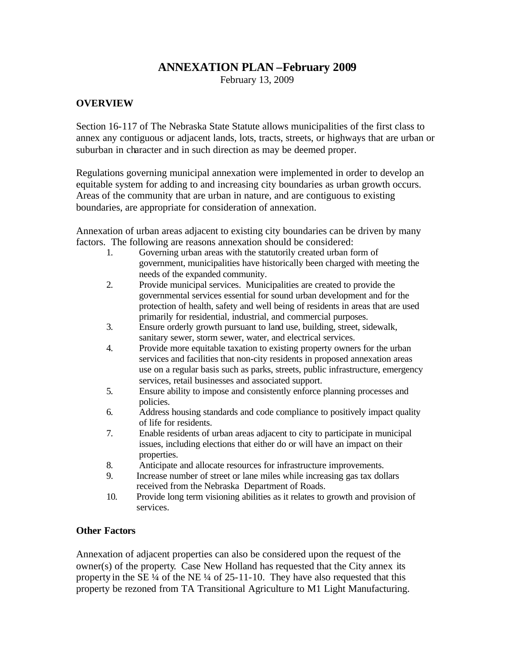#### **ANNEXATION PLAN –February 2009**

February 13, 2009

#### **OVERVIEW**

Section 16-117 of The Nebraska State Statute allows municipalities of the first class to annex any contiguous or adjacent lands, lots, tracts, streets, or highways that are urban or suburban in character and in such direction as may be deemed proper.

Regulations governing municipal annexation were implemented in order to develop an equitable system for adding to and increasing city boundaries as urban growth occurs. Areas of the community that are urban in nature, and are contiguous to existing boundaries, are appropriate for consideration of annexation.

Annexation of urban areas adjacent to existing city boundaries can be driven by many factors. The following are reasons annexation should be considered:

- 1. Governing urban areas with the statutorily created urban form of government, municipalities have historically been charged with meeting the needs of the expanded community.
- 2. Provide municipal services. Municipalities are created to provide the governmental services essential for sound urban development and for the protection of health, safety and well being of residents in areas that are used primarily for residential, industrial, and commercial purposes.
- 3. Ensure orderly growth pursuant to land use, building, street, sidewalk, sanitary sewer, storm sewer, water, and electrical services.
- 4. Provide more equitable taxation to existing property owners for the urban services and facilities that non-city residents in proposed annexation areas use on a regular basis such as parks, streets, public infrastructure, emergency services, retail businesses and associated support.
- 5. Ensure ability to impose and consistently enforce planning processes and policies.
- 6. Address housing standards and code compliance to positively impact quality of life for residents.
- 7. Enable residents of urban areas adjacent to city to participate in municipal issues, including elections that either do or will have an impact on their properties.
- 8. Anticipate and allocate resources for infrastructure improvements.
- 9. Increase number of street or lane miles while increasing gas tax dollars received from the Nebraska Department of Roads.
- 10. Provide long term visioning abilities as it relates to growth and provision of services.

#### **Other Factors**

Annexation of adjacent properties can also be considered upon the request of the owner(s) of the property. Case New Holland has requested that the City annex its property in the SE ¼ of the NE ¼ of 25-11-10. They have also requested that this property be rezoned from TA Transitional Agriculture to M1 Light Manufacturing.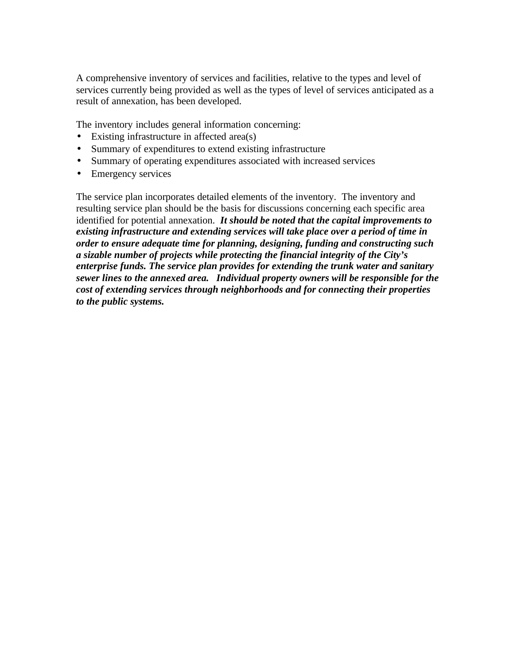A comprehensive inventory of services and facilities, relative to the types and level of services currently being provided as well as the types of level of services anticipated as a result of annexation, has been developed.

The inventory includes general information concerning:

- Existing infrastructure in affected area(s)
- Summary of expenditures to extend existing infrastructure
- Summary of operating expenditures associated with increased services
- Emergency services

The service plan incorporates detailed elements of the inventory. The inventory and resulting service plan should be the basis for discussions concerning each specific area identified for potential annexation. *It should be noted that the capital improvements to existing infrastructure and extending services will take place over a period of time in order to ensure adequate time for planning, designing, funding and constructing such a sizable number of projects while protecting the financial integrity of the City's enterprise funds. The service plan provides for extending the trunk water and sanitary sewer lines to the annexed area. Individual property owners will be responsible for the cost of extending services through neighborhoods and for connecting their properties to the public systems.*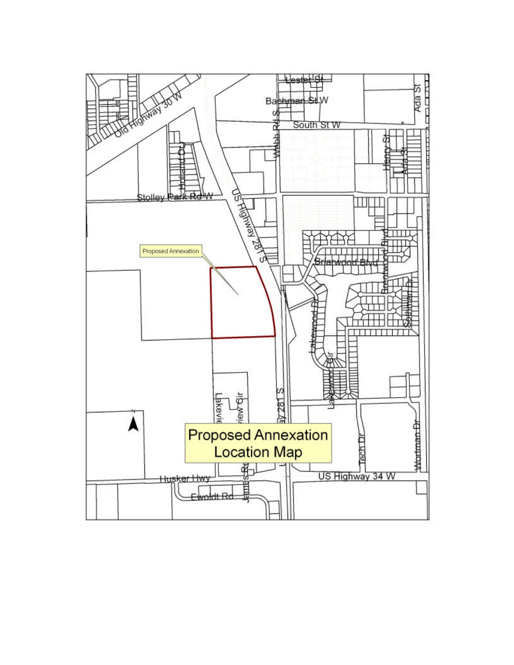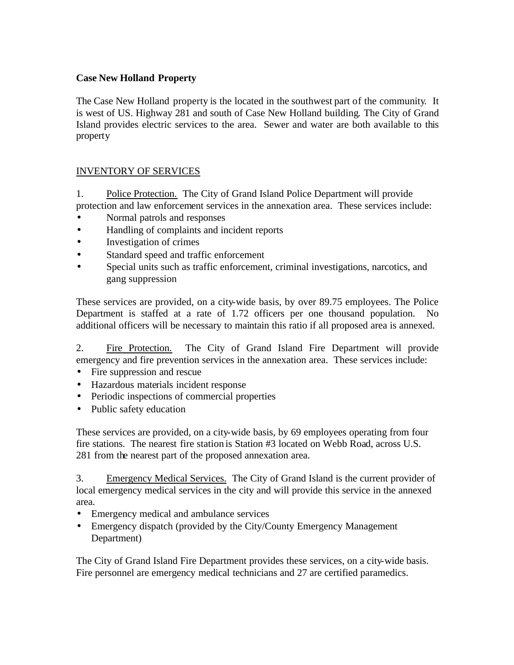#### **Case New Holland Property**

The Case New Holland property is the located in the southwest part of the community. It is west of US. Highway 281 and south of Case New Holland building. The City of Grand Island provides electric services to the area. Sewer and water are both available to this property

#### INVENTORY OF SERVICES

1. Police Protection. The City of Grand Island Police Department will provide protection and law enforcement services in the annexation area. These services include:

- Normal patrols and responses
- Handling of complaints and incident reports
- Investigation of crimes
- Standard speed and traffic enforcement
- Special units such as traffic enforcement, criminal investigations, narcotics, and gang suppression

These services are provided, on a city-wide basis, by over 89.75 employees. The Police Department is staffed at a rate of 1.72 officers per one thousand population. No additional officers will be necessary to maintain this ratio if all proposed area is annexed.

2. Fire Protection. The City of Grand Island Fire Department will provide emergency and fire prevention services in the annexation area. These services include:

- Fire suppression and rescue
- Hazardous materials incident response
- Periodic inspections of commercial properties
- Public safety education

These services are provided, on a city-wide basis, by 69 employees operating from four fire stations. The nearest fire station is Station #3 located on Webb Road, across U.S. 281 from the nearest part of the proposed annexation area.

3. Emergency Medical Services. The City of Grand Island is the current provider of local emergency medical services in the city and will provide this service in the annexed area.

- Emergency medical and ambulance services
- Emergency dispatch (provided by the City/County Emergency Management Department)

The City of Grand Island Fire Department provides these services, on a city-wide basis. Fire personnel are emergency medical technicians and 27 are certified paramedics.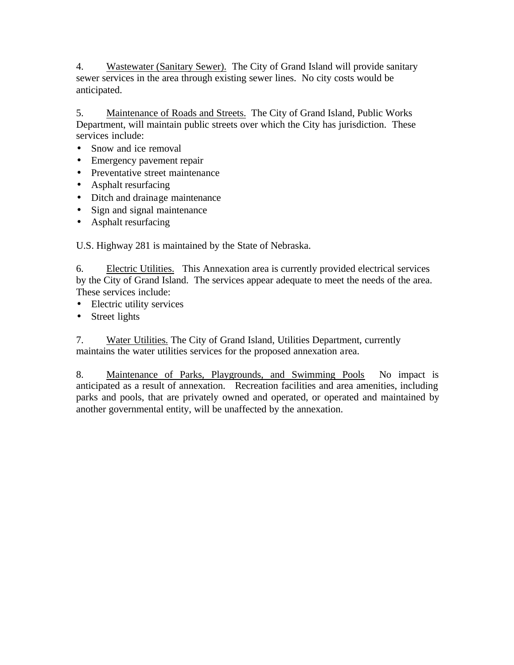4. Wastewater (Sanitary Sewer). The City of Grand Island will provide sanitary sewer services in the area through existing sewer lines. No city costs would be anticipated.

5. Maintenance of Roads and Streets. The City of Grand Island, Public Works Department, will maintain public streets over which the City has jurisdiction. These services include:

- Snow and ice removal
- Emergency pavement repair
- Preventative street maintenance
- Asphalt resurfacing
- Ditch and drainage maintenance
- Sign and signal maintenance
- Asphalt resurfacing

U.S. Highway 281 is maintained by the State of Nebraska.

6. Electric Utilities. This Annexation area is currently provided electrical services by the City of Grand Island. The services appear adequate to meet the needs of the area. These services include:

- Electric utility services
- Street lights

7. Water Utilities. The City of Grand Island, Utilities Department, currently maintains the water utilities services for the proposed annexation area.

8. Maintenance of Parks, Playgrounds, and Swimming Pools No impact is anticipated as a result of annexation. Recreation facilities and area amenities, including parks and pools, that are privately owned and operated, or operated and maintained by another governmental entity, will be unaffected by the annexation.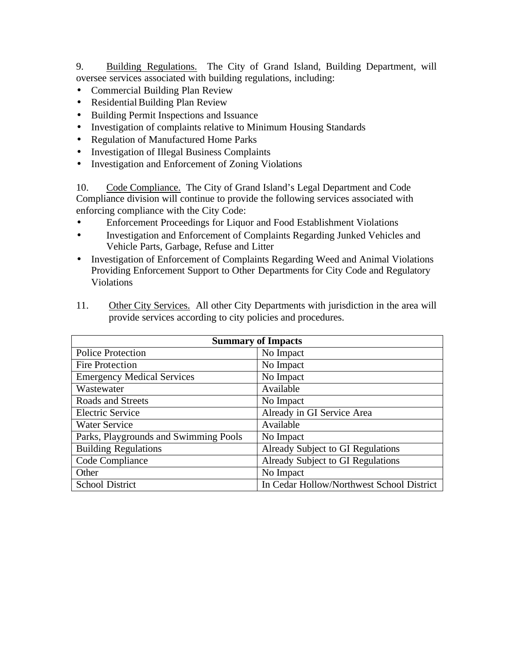9. Building Regulations. The City of Grand Island, Building Department, will oversee services associated with building regulations, including:

- Commercial Building Plan Review
- Residential Building Plan Review
- Building Permit Inspections and Issuance
- Investigation of complaints relative to Minimum Housing Standards
- Regulation of Manufactured Home Parks
- Investigation of Illegal Business Complaints
- Investigation and Enforcement of Zoning Violations

10. Code Compliance. The City of Grand Island's Legal Department and Code Compliance division will continue to provide the following services associated with enforcing compliance with the City Code:

- Enforcement Proceedings for Liquor and Food Establishment Violations
- Investigation and Enforcement of Complaints Regarding Junked Vehicles and Vehicle Parts, Garbage, Refuse and Litter
- Investigation of Enforcement of Complaints Regarding Weed and Animal Violations Providing Enforcement Support to Other Departments for City Code and Regulatory Violations

| <b>Summary of Impacts</b>             |                                           |  |  |
|---------------------------------------|-------------------------------------------|--|--|
| <b>Police Protection</b>              | No Impact                                 |  |  |
| <b>Fire Protection</b>                | No Impact                                 |  |  |
| <b>Emergency Medical Services</b>     | No Impact                                 |  |  |
| Wastewater                            | Available                                 |  |  |
| Roads and Streets                     | No Impact                                 |  |  |
| <b>Electric Service</b>               | Already in GI Service Area                |  |  |
| <b>Water Service</b>                  | Available                                 |  |  |
| Parks, Playgrounds and Swimming Pools | No Impact                                 |  |  |
| <b>Building Regulations</b>           | Already Subject to GI Regulations         |  |  |
| Code Compliance                       | Already Subject to GI Regulations         |  |  |
| Other                                 | No Impact                                 |  |  |
| <b>School District</b>                | In Cedar Hollow/Northwest School District |  |  |

11. Other City Services. All other City Departments with jurisdiction in the area will provide services according to city policies and procedures.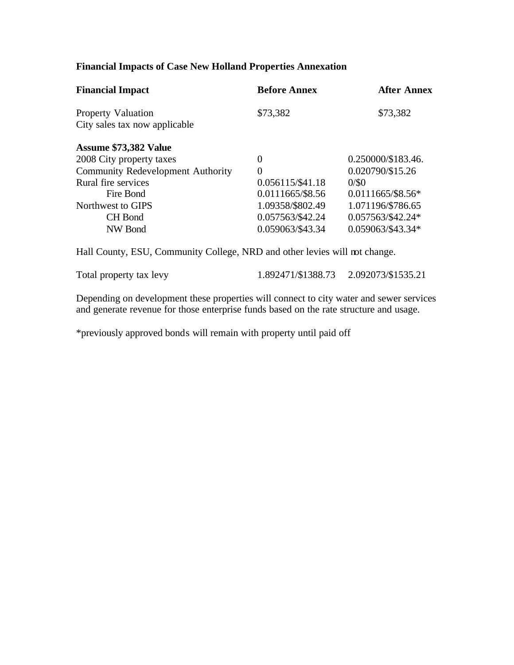#### **Financial Impacts of Case New Holland Properties Annexation**

| <b>Financial Impact</b>                                    | <b>Before Annex</b> | <b>After Annex</b><br>\$73,382 |
|------------------------------------------------------------|---------------------|--------------------------------|
| <b>Property Valuation</b><br>City sales tax now applicable | \$73,382            |                                |
| Assume \$73,382 Value                                      |                     |                                |
| 2008 City property taxes                                   | $\theta$            | 0.250000/\$183.46.             |
| <b>Community Redevelopment Authority</b>                   | $\overline{0}$      | 0.020790/\$15.26               |
| Rural fire services                                        | 0.056115/\$41.18    | 0/50                           |
| Fire Bond                                                  | 0.0111665/\$8.56    | $0.0111665/\$8.56*$            |
| Northwest to GIPS                                          | 1.09358/\$802.49    | 1.071196/\$786.65              |
| <b>CH</b> Bond                                             | 0.057563/\$42.24    | 0.057563/\$42.24*              |
| NW Bond                                                    | 0.059063/\$43.34    | 0.059063/\$43.34*              |
|                                                            |                     |                                |

Hall County, ESU, Community College, NRD and other levies will not change.

Total property tax levy 1.892471/\$1388.73 2.092073/\$1535.21

Depending on development these properties will connect to city water and sewer services and generate revenue for those enterprise funds based on the rate structure and usage.

\*previously approved bonds will remain with property until paid off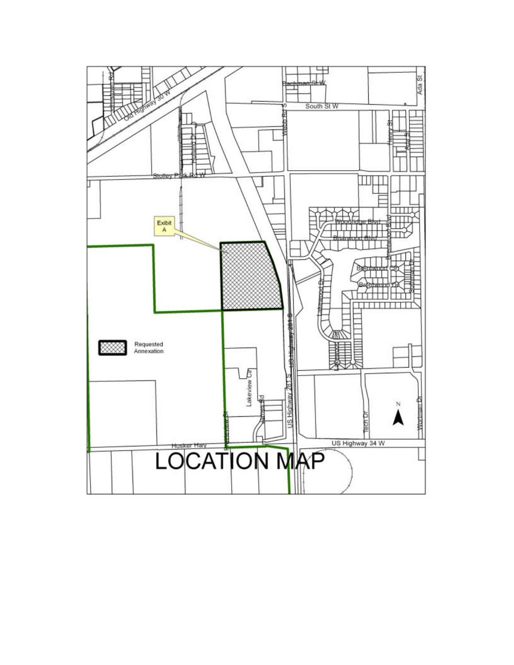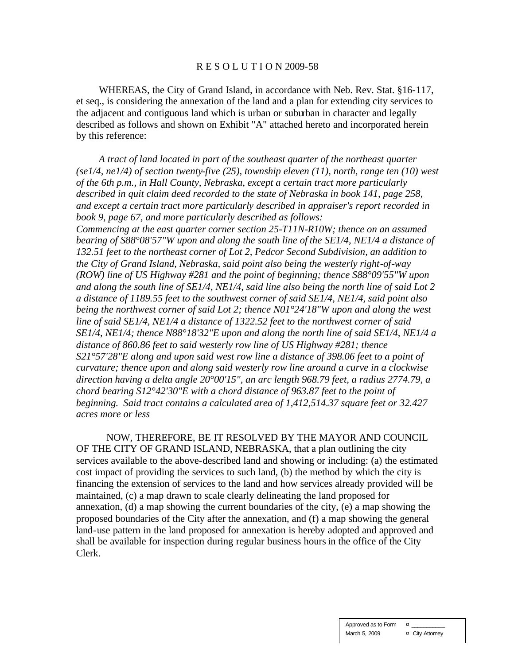#### R E S O L U T I O N 2009-58

WHEREAS, the City of Grand Island, in accordance with Neb. Rev. Stat. §16-117, et seq., is considering the annexation of the land and a plan for extending city services to the adjacent and contiguous land which is urban or suburban in character and legally described as follows and shown on Exhibit "A" attached hereto and incorporated herein by this reference:

*A tract of land located in part of the southeast quarter of the northeast quarter (se1/4, ne1/4) of section twenty-five (25), township eleven (11), north, range ten (10) west of the 6th p.m., in Hall County, Nebraska, except a certain tract more particularly described in quit claim deed recorded to the state of Nebraska in book 141, page 258, and except a certain tract more particularly described in appraiser's report recorded in book 9, page 67, and more particularly described as follows: Commencing at the east quarter corner section 25-T11N-R10W; thence on an assumed bearing of S88°08'57"W upon and along the south line of the SE1/4, NE1/4 a distance of 132.51 feet to the northeast corner of Lot 2, Pedcor Second Subdivision, an addition to the City of Grand Island, Nebraska, said point also being the westerly right-of-way (ROW) line of US Highway #281 and the point of beginning; thence S88°09'55"W upon and along the south line of SE1/4, NE1/4, said line also being the north line of said Lot 2 a distance of 1189.55 feet to the southwest corner of said SE1/4, NE1/4, said point also being the northwest corner of said Lot 2; thence N01°24'18"W upon and along the west line of said SE1/4, NE1/4 a distance of 1322.52 feet to the northwest corner of said SE1/4, NE1/4; thence N88°18'32"E upon and along the north line of said SE1/4, NE1/4 a distance of 860.86 feet to said westerly row line of US Highway #281; thence S21°57'28"E along and upon said west row line a distance of 398.06 feet to a point of curvature; thence upon and along said westerly row line around a curve in a clockwise direction having a delta angle 20°00'15", an arc length 968.79 feet, a radius 2774.79, a chord bearing S12°42'30"E with a chord distance of 963.87 feet to the point of beginning. Said tract contains a calculated area of 1,412,514.37 square feet or 32.427 acres more or less*

NOW, THEREFORE, BE IT RESOLVED BY THE MAYOR AND COUNCIL OF THE CITY OF GRAND ISLAND, NEBRASKA, that a plan outlining the city services available to the above-described land and showing or including: (a) the estimated cost impact of providing the services to such land, (b) the method by which the city is financing the extension of services to the land and how services already provided will be maintained, (c) a map drawn to scale clearly delineating the land proposed for annexation, (d) a map showing the current boundaries of the city, (e) a map showing the proposed boundaries of the City after the annexation, and (f) a map showing the general land-use pattern in the land proposed for annexation is hereby adopted and approved and shall be available for inspection during regular business hours in the office of the City Clerk.

> Approved as to Form  $\qquad \alpha$ March 5, 2009 **¤** City Attorney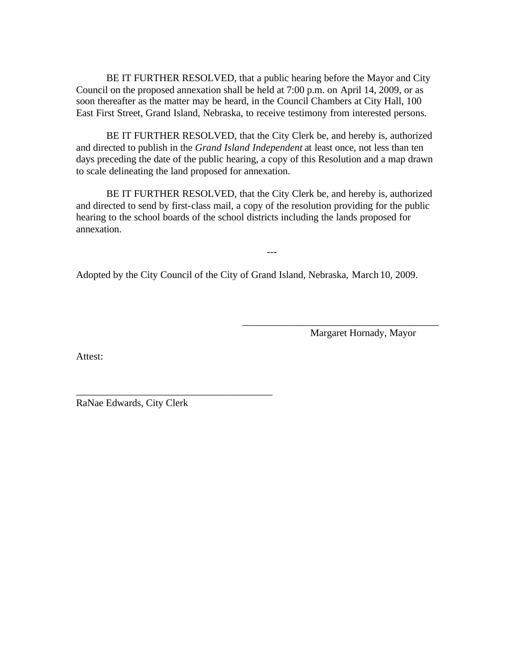BE IT FURTHER RESOLVED, that a public hearing before the Mayor and City Council on the proposed annexation shall be held at 7:00 p.m. on April 14, 2009, or as soon thereafter as the matter may be heard, in the Council Chambers at City Hall, 100 East First Street, Grand Island, Nebraska, to receive testimony from interested persons.

BE IT FURTHER RESOLVED, that the City Clerk be, and hereby is, authorized and directed to publish in the *Grand Island Independent* at least once, not less than ten days preceding the date of the public hearing, a copy of this Resolution and a map drawn to scale delineating the land proposed for annexation.

BE IT FURTHER RESOLVED, that the City Clerk be, and hereby is, authorized and directed to send by first-class mail, a copy of the resolution providing for the public hearing to the school boards of the school districts including the lands proposed for annexation.

---

Adopted by the City Council of the City of Grand Island, Nebraska, March 10, 2009.

Margaret Hornady, Mayor

\_\_\_\_\_\_\_\_\_\_\_\_\_\_\_\_\_\_\_\_\_\_\_\_\_\_\_\_\_\_\_\_\_\_\_\_\_\_\_

Attest:

RaNae Edwards, City Clerk

\_\_\_\_\_\_\_\_\_\_\_\_\_\_\_\_\_\_\_\_\_\_\_\_\_\_\_\_\_\_\_\_\_\_\_\_\_\_\_